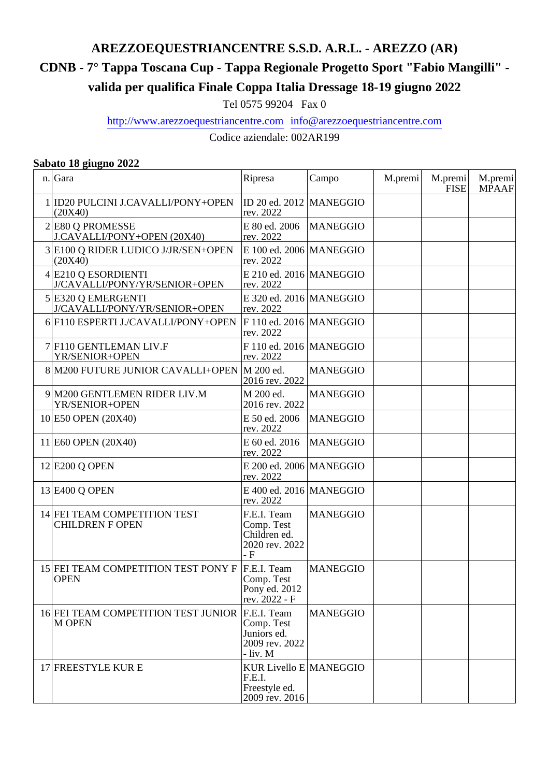# **AREZZOEQUESTRIANCENTRE S.S.D. A.R.L. - AREZZO (AR)**

# **CDNB - 7° Tappa Toscana Cup - Tappa Regionale Progetto Sport "Fabio Mangilli" -**

**valida per qualifica Finale Coppa Italia Dressage 18-19 giugno 2022**

Tel 0575 99204 Fax 0

http://www.arezzoequestriancentre.com info@arezzoequestriancentre.com

Codice aziendale: 002AR199

#### **Sabato 18 giugno 2022**

| n. Gara                                                   | Ripresa                                                             | Campo           | M.premi | M.premi<br><b>FISE</b> | M.premi<br><b>MPAAF</b> |
|-----------------------------------------------------------|---------------------------------------------------------------------|-----------------|---------|------------------------|-------------------------|
| 1 ID20 PULCINI J.CAVALLI/PONY+OPEN<br>(20X40)             | ID 20 ed. 2012<br>rev. 2022                                         | <b>MANEGGIO</b> |         |                        |                         |
| 2 E80 Q PROMESSE<br>J.CAVALLI/PONY+OPEN (20X40)           | E 80 ed. 2006<br>rev. 2022                                          | <b>MANEGGIO</b> |         |                        |                         |
| 3 E100 Q RIDER LUDICO J/JR/SEN+OPEN<br>(20X40)            | $E$ 100 ed. 2006 MANEGGIO<br>rev. 2022                              |                 |         |                        |                         |
| $4$ E210 Q ESORDIENTI<br>J/CAVALLI/PONY/YR/SENIOR+OPEN    | $E$ 210 ed. 2016 MANEGGIO<br>rev. 2022                              |                 |         |                        |                         |
| 5 E320 Q EMERGENTI<br>J/CAVALLI/PONY/YR/SENIOR+OPEN       | $E$ 320 ed. 2016 MANEGGIO<br>rev. 2022                              |                 |         |                        |                         |
| 6 F110 ESPERTI J./CAVALLI/PONY+OPEN                       | F 110 ed. 2016   MANEGGIO<br>rev. 2022                              |                 |         |                        |                         |
| 7 F110 GENTLEMAN LIV.F<br>YR/SENIOR+OPEN                  | F 110 ed. 2016   MANEGGIO<br>rev. 2022                              |                 |         |                        |                         |
| 8 M200 FUTURE JUNIOR CAVALLI+OPEN M 200 ed.               | 2016 rev. 2022                                                      | <b>MANEGGIO</b> |         |                        |                         |
| 9 M200 GENTLEMEN RIDER LIV.M<br>YR/SENIOR+OPEN            | M 200 ed.<br>2016 rev. 2022                                         | <b>MANEGGIO</b> |         |                        |                         |
| 10 E50 OPEN (20X40)                                       | E 50 ed. 2006<br>rev. 2022                                          | <b>MANEGGIO</b> |         |                        |                         |
| 11 E60 OPEN (20X40)                                       | E 60 ed. 2016<br>rev. 2022                                          | <b>MANEGGIO</b> |         |                        |                         |
| 12 E200 Q OPEN                                            | $E$ 200 ed. 2006   MANEGGIO<br>rev. 2022                            |                 |         |                        |                         |
| 13 E400 Q OPEN                                            | $E$ 400 ed. 2016 MANEGGIO<br>rev. 2022                              |                 |         |                        |                         |
| 14 FEI TEAM COMPETITION TEST<br><b>CHILDREN F OPEN</b>    | F.E.I. Team<br>Comp. Test<br>Children ed.<br>2020 rev. 2022<br>- F  | <b>MANEGGIO</b> |         |                        |                         |
| 15 FEI TEAM COMPETITION TEST PONY F<br><b>OPEN</b>        | F.E.I. Team<br>Comp. Test<br>Pony ed. 2012<br>rev. 2022 - F         | <b>MANEGGIO</b> |         |                        |                         |
| 16 FEI TEAM COMPETITION TEST JUNIOR F.E.I. Team<br>M OPEN | Comp. Test<br>Juniors ed.<br>2009 rev. 2022<br>- liv. M             | <b>MANEGGIO</b> |         |                        |                         |
| 17 FREESTYLE KUR E                                        | KUR Livello E MANEGGIO<br>F.E.I.<br>Freestyle ed.<br>2009 rev. 2016 |                 |         |                        |                         |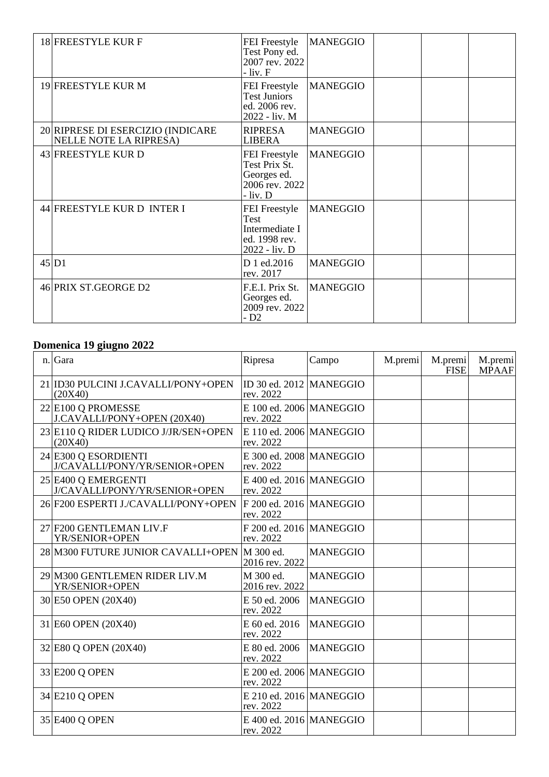| 18 FREESTYLE KUR F                                          | FEI Freestyle<br>Test Pony ed.<br>2007 rev. 2022<br>$-$ liv. $F$                        | <b>MANEGGIO</b> |  |  |
|-------------------------------------------------------------|-----------------------------------------------------------------------------------------|-----------------|--|--|
| 19 FREESTYLE KUR M                                          | FEI Freestyle<br><b>Test Juniors</b><br>ed. 2006 rev.<br>2022 - liv. M                  | <b>MANEGGIO</b> |  |  |
| 20 RIPRESE DI ESERCIZIO (INDICARE<br>NELLE NOTE LA RIPRESA) | <b>RIPRESA</b><br><b>LIBERA</b>                                                         | <b>MANEGGIO</b> |  |  |
| 43 FREESTYLE KURD                                           | FEI Freestyle<br>Test Prix St.<br>Georges ed.<br>2006 rev. 2022<br>- liv. D             | <b>MANEGGIO</b> |  |  |
| 44 FREESTYLE KURD INTER I                                   | <b>FEI</b> Freestyle<br><b>Test</b><br>Intermediate I<br>ed. 1998 rev.<br>2022 - liv. D | <b>MANEGGIO</b> |  |  |
| 45 D1                                                       | D 1 ed.2016<br>rev. 2017                                                                | <b>MANEGGIO</b> |  |  |
| 46 PRIX ST.GEORGE D2                                        | F.E.I. Prix St.<br>Georges ed.<br>2009 rev. 2022<br>- D <sub>2</sub>                    | <b>MANEGGIO</b> |  |  |

### **Domenica 19 giugno 2022**

| $n_{\cdot}$ | Gara                                                  | Ripresa                                | Campo           | M.premi | M.premi<br>FISE | M.premi<br><b>MPAAF</b> |
|-------------|-------------------------------------------------------|----------------------------------------|-----------------|---------|-----------------|-------------------------|
|             | 21 ID30 PULCINI J.CAVALLI/PONY+OPEN<br>(20X40)        | ID 30 ed. 2012 MANEGGIO<br>rev. 2022   |                 |         |                 |                         |
|             | 22 E100 Q PROMESSE<br>J.CAVALLI/PONY+OPEN (20X40)     | E 100 ed. 2006   MANEGGIO<br>rev. 2022 |                 |         |                 |                         |
|             | 23 E110 Q RIDER LUDICO J/JR/SEN+OPEN<br>(20X40)       | $E$ 110 ed. 2006 MANEGGIO<br>rev. 2022 |                 |         |                 |                         |
|             | 24 E300 Q ESORDIENTI<br>J/CAVALLI/PONY/YR/SENIOR+OPEN | E 300 ed. 2008   MANEGGIO<br>rev. 2022 |                 |         |                 |                         |
|             | 25 E400 Q EMERGENTI<br>J/CAVALLI/PONY/YR/SENIOR+OPEN  | E 400 ed. 2016   MANEGGIO<br>rev. 2022 |                 |         |                 |                         |
|             | 26 F200 ESPERTI J./CAVALLI/PONY+OPEN                  | $F$ 200 ed. 2016 MANEGGIO<br>rev. 2022 |                 |         |                 |                         |
|             | 27 F200 GENTLEMAN LIV.F<br>YR/SENIOR+OPEN             | F 200 ed. 2016 MANEGGIO<br>rev. 2022   |                 |         |                 |                         |
|             | 28 M300 FUTURE JUNIOR CAVALLI+OPEN                    | M 300 ed.<br>2016 rev. 2022            | <b>MANEGGIO</b> |         |                 |                         |
|             | 29 M300 GENTLEMEN RIDER LIV.M<br>YR/SENIOR+OPEN       | M 300 ed.<br>2016 rev. 2022            | <b>MANEGGIO</b> |         |                 |                         |
|             | 30 E50 OPEN (20X40)                                   | E 50 ed. 2006<br>rev. 2022             | <b>MANEGGIO</b> |         |                 |                         |
|             | 31 E60 OPEN (20X40)                                   | E 60 ed. 2016<br>rev. 2022             | <b>MANEGGIO</b> |         |                 |                         |
|             | 32 E80 Q OPEN (20X40)                                 | E 80 ed. 2006<br>rev. 2022             | <b>MANEGGIO</b> |         |                 |                         |
|             | 33 E200 Q OPEN                                        | E 200 ed. 2006   MANEGGIO<br>rev. 2022 |                 |         |                 |                         |
|             | 34 E210 Q OPEN                                        | E 210 ed. 2016   MANEGGIO<br>rev. 2022 |                 |         |                 |                         |
|             | 35 E400 Q OPEN                                        | $E$ 400 ed. 2016 MANEGGIO<br>rev. 2022 |                 |         |                 |                         |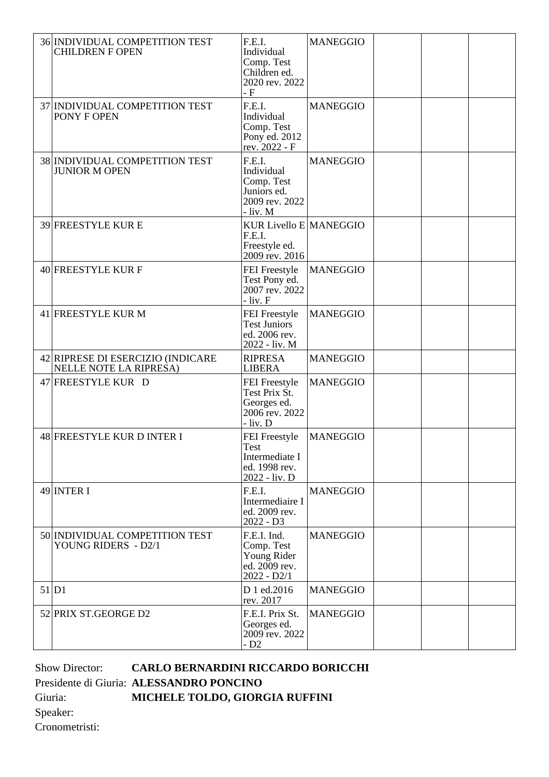| 36 INDIVIDUAL COMPETITION TEST<br><b>CHILDREN F OPEN</b>           | F.E.I.<br>Individual<br>Comp. Test<br>Children ed.<br>2020 rev. 2022<br>- F      | <b>MANEGGIO</b> |  |  |
|--------------------------------------------------------------------|----------------------------------------------------------------------------------|-----------------|--|--|
| 37 INDIVIDUAL COMPETITION TEST<br>PONY F OPEN                      | F.E.I.<br>Individual<br>Comp. Test<br>Pony ed. 2012<br>rev. 2022 - F             | <b>MANEGGIO</b> |  |  |
| 38 INDIVIDUAL COMPETITION TEST<br><b>JUNIOR M OPEN</b>             | F.E.I.<br>Individual<br>Comp. Test<br>Juniors ed.<br>2009 rev. 2022<br>- liv. M  | <b>MANEGGIO</b> |  |  |
| 39 FREESTYLE KURE                                                  | <b>KUR Livello E MANEGGIO</b><br>F.E.I.<br>Freestyle ed.<br>2009 rev. 2016       |                 |  |  |
| 40 FREESTYLE KUR F                                                 | FEI Freestyle<br>Test Pony ed.<br>2007 rev. 2022<br>$-$ liv. $F$                 | <b>MANEGGIO</b> |  |  |
| 41 FREESTYLE KUR M                                                 | FEI Freestyle<br><b>Test Juniors</b><br>ed. 2006 rev.<br>2022 - liv. M           | <b>MANEGGIO</b> |  |  |
| 42 RIPRESE DI ESERCIZIO (INDICARE<br><b>NELLE NOTE LA RIPRESA)</b> | <b>RIPRESA</b><br><b>LIBERA</b>                                                  | <b>MANEGGIO</b> |  |  |
| 47 FREESTYLE KUR D                                                 | FEI Freestyle<br>Test Prix St.<br>Georges ed.<br>2006 rev. 2022<br>$-$ liv. D    | <b>MANEGGIO</b> |  |  |
| 48 FREESTYLE KUR D INTER I                                         | <b>FEI</b> Freestyle<br>Test<br>Intermediate I<br>ed. 1998 rev.<br>2022 - liv. D | <b>MANEGGIO</b> |  |  |
| 49 INTER I                                                         | F.E.I.<br>Intermediaire I<br>ed. 2009 rev.<br>$2022 - D3$                        | <b>MANEGGIO</b> |  |  |
| 50 INDIVIDUAL COMPETITION TEST<br>YOUNG RIDERS - D2/1              | F.E.I. Ind.<br>Comp. Test<br>Young Rider<br>ed. 2009 rev.<br>$2022 - D2/1$       | <b>MANEGGIO</b> |  |  |
| 51 D1                                                              | D 1 ed.2016<br>rev. 2017                                                         | <b>MANEGGIO</b> |  |  |
| 52 PRIX ST.GEORGE D2                                               | F.E.I. Prix St.<br>Georges ed.<br>2009 rev. 2022<br>$-D2$                        | <b>MANEGGIO</b> |  |  |

Show Director: **CARLO BERNARDINI RICCARDO BORICCHI** Presidente di Giuria: **ALESSANDRO PONCINO** Giuria: **MICHELE TOLDO, GIORGIA RUFFINI** Speaker: Cronometristi: